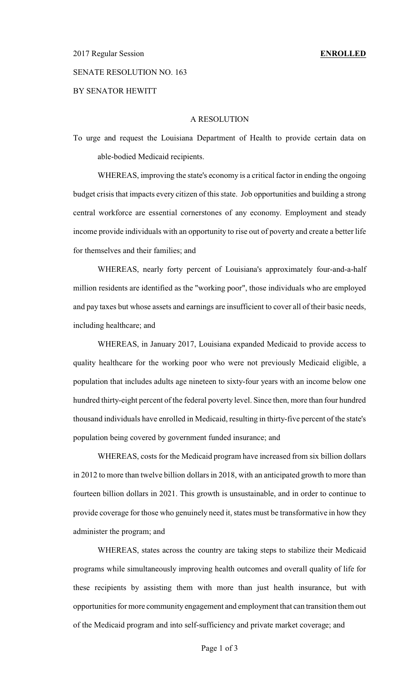## SENATE RESOLUTION NO. 163

BY SENATOR HEWITT

## A RESOLUTION

To urge and request the Louisiana Department of Health to provide certain data on able-bodied Medicaid recipients.

WHEREAS, improving the state's economy is a critical factor in ending the ongoing budget crisis that impacts every citizen of this state. Job opportunities and building a strong central workforce are essential cornerstones of any economy. Employment and steady income provide individuals with an opportunity to rise out of poverty and create a better life for themselves and their families; and

WHEREAS, nearly forty percent of Louisiana's approximately four-and-a-half million residents are identified as the "working poor", those individuals who are employed and pay taxes but whose assets and earnings are insufficient to cover all of their basic needs, including healthcare; and

WHEREAS, in January 2017, Louisiana expanded Medicaid to provide access to quality healthcare for the working poor who were not previously Medicaid eligible, a population that includes adults age nineteen to sixty-four years with an income below one hundred thirty-eight percent of the federal poverty level. Since then, more than four hundred thousand individuals have enrolled in Medicaid, resulting in thirty-five percent of the state's population being covered by government funded insurance; and

WHEREAS, costs for the Medicaid program have increased from six billion dollars in 2012 to more than twelve billion dollars in 2018, with an anticipated growth to more than fourteen billion dollars in 2021. This growth is unsustainable, and in order to continue to provide coverage for those who genuinely need it, states must be transformative in how they administer the program; and

WHEREAS, states across the country are taking steps to stabilize their Medicaid programs while simultaneously improving health outcomes and overall quality of life for these recipients by assisting them with more than just health insurance, but with opportunities for more community engagement and employment that can transition them out of the Medicaid program and into self-sufficiency and private market coverage; and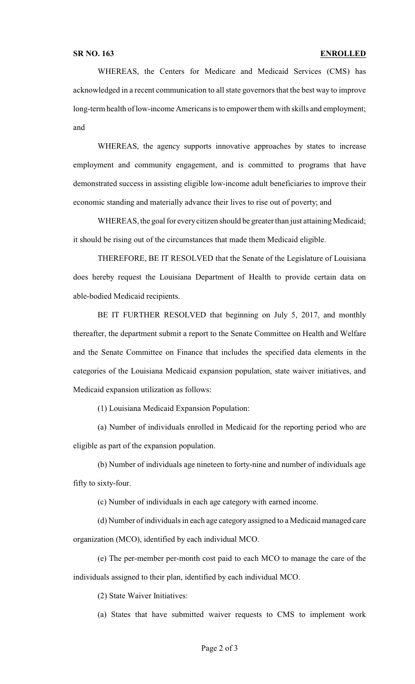WHEREAS, the Centers for Medicare and Medicaid Services (CMS) has acknowledged in a recent communication to all state governors that the best way to improve long-term health of low-income Americans is to empower them with skills and employment; and

WHEREAS, the agency supports innovative approaches by states to increase employment and community engagement, and is committed to programs that have demonstrated success in assisting eligible low-income adult beneficiaries to improve their economic standing and materially advance their lives to rise out of poverty; and

WHEREAS, the goal for every citizen should be greater than just attaining Medicaid; it should be rising out of the circumstances that made them Medicaid eligible.

THEREFORE, BE IT RESOLVED that the Senate of the Legislature of Louisiana does hereby request the Louisiana Department of Health to provide certain data on able-bodied Medicaid recipients.

BE IT FURTHER RESOLVED that beginning on July 5, 2017, and monthly thereafter, the department submit a report to the Senate Committee on Health and Welfare and the Senate Committee on Finance that includes the specified data elements in the categories of the Louisiana Medicaid expansion population, state waiver initiatives, and Medicaid expansion utilization as follows:

(1) Louisiana Medicaid Expansion Population:

(a) Number of individuals enrolled in Medicaid for the reporting period who are eligible as part of the expansion population.

(b) Number of individuals age nineteen to forty-nine and number of individuals age fifty to sixty-four.

(c) Number of individuals in each age category with earned income.

(d) Number of individuals in each age category assigned to a Medicaid managed care organization (MCO), identified by each individual MCO.

(e) The per-member per-month cost paid to each MCO to manage the care of the individuals assigned to their plan, identified by each individual MCO.

(2) State Waiver Initiatives:

(a) States that have submitted waiver requests to CMS to implement work